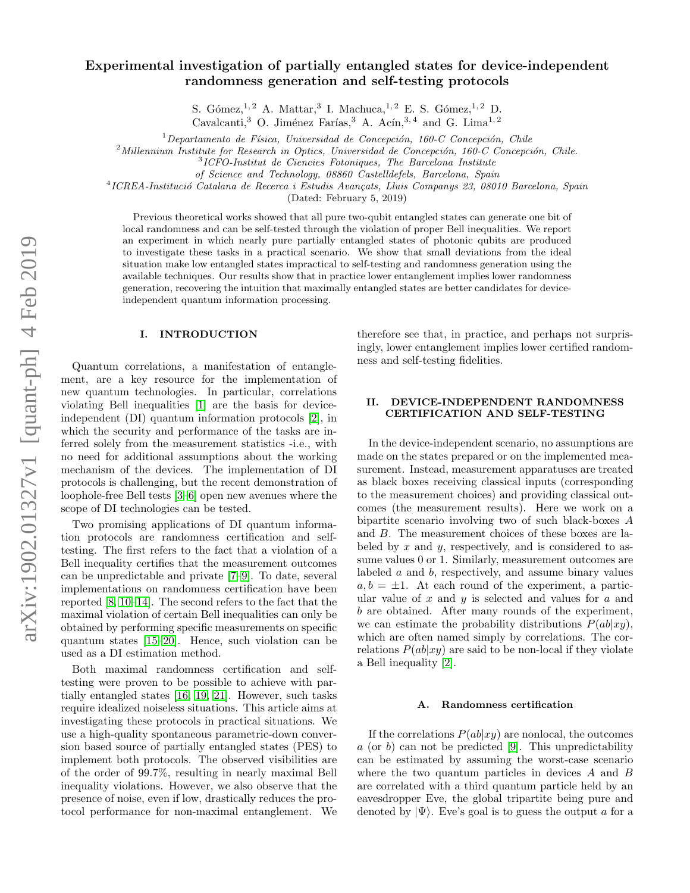# Experimental investigation of partially entangled states for device-independent randomness generation and self-testing protocols

S. Gómez,<sup>1, 2</sup> A. Mattar,<sup>3</sup> I. Machuca,<sup>1, 2</sup> E. S. Gómez,<sup>1, 2</sup> D.

Cavalcanti,<sup>3</sup> O. Jiménez Farías,<sup>3</sup> A. Acín,<sup>3, 4</sup> and G. Lima<sup>1, 2</sup>

 $1$ Departamento de Física, Universidad de Concepción, 160-C Concepción, Chile

 $2$ Millennium Institute for Research in Optics, Universidad de Concepción, 160-C Concepción, Chile.

3 ICFO-Institut de Ciencies Fotoniques, The Barcelona Institute

of Science and Technology, 08860 Castelldefels, Barcelona, Spain

<sup>4</sup>ICREA-Institució Catalana de Recerca i Estudis Avançats, Lluis Companys 23, 08010 Barcelona, Spain

(Dated: February 5, 2019)

Previous theoretical works showed that all pure two-qubit entangled states can generate one bit of local randomness and can be self-tested through the violation of proper Bell inequalities. We report an experiment in which nearly pure partially entangled states of photonic qubits are produced to investigate these tasks in a practical scenario. We show that small deviations from the ideal situation make low entangled states impractical to self-testing and randomness generation using the available techniques. Our results show that in practice lower entanglement implies lower randomness generation, recovering the intuition that maximally entangled states are better candidates for deviceindependent quantum information processing.

## I. INTRODUCTION

Quantum correlations, a manifestation of entanglement, are a key resource for the implementation of new quantum technologies. In particular, correlations violating Bell inequalities [\[1\]](#page-5-0) are the basis for deviceindependent (DI) quantum information protocols [\[2\]](#page-5-1), in which the security and performance of the tasks are inferred solely from the measurement statistics -i.e., with no need for additional assumptions about the working mechanism of the devices. The implementation of DI protocols is challenging, but the recent demonstration of loophole-free Bell tests [\[3](#page-5-2)[–6\]](#page-5-3) open new avenues where the scope of DI technologies can be tested.

Two promising applications of DI quantum information protocols are randomness certification and selftesting. The first refers to the fact that a violation of a Bell inequality certifies that the measurement outcomes can be unpredictable and private [\[7–](#page-5-4)[9\]](#page-5-5). To date, several implementations on randomness certification have been reported [\[8,](#page-5-6) [10](#page-5-7)[–14\]](#page-5-8). The second refers to the fact that the maximal violation of certain Bell inequalities can only be obtained by performing specific measurements on specific quantum states [\[15–](#page-5-9)[20\]](#page-5-10). Hence, such violation can be used as a DI estimation method.

Both maximal randomness certification and selftesting were proven to be possible to achieve with partially entangled states [\[16,](#page-5-11) [19,](#page-5-12) [21\]](#page-5-13). However, such tasks require idealized noiseless situations. This article aims at investigating these protocols in practical situations. We use a high-quality spontaneous parametric-down conversion based source of partially entangled states (PES) to implement both protocols. The observed visibilities are of the order of 99.7%, resulting in nearly maximal Bell inequality violations. However, we also observe that the presence of noise, even if low, drastically reduces the protocol performance for non-maximal entanglement. We

therefore see that, in practice, and perhaps not surprisingly, lower entanglement implies lower certified randomness and self-testing fidelities.

## II. DEVICE-INDEPENDENT RANDOMNESS CERTIFICATION AND SELF-TESTING

In the device-independent scenario, no assumptions are made on the states prepared or on the implemented measurement. Instead, measurement apparatuses are treated as black boxes receiving classical inputs (corresponding to the measurement choices) and providing classical outcomes (the measurement results). Here we work on a bipartite scenario involving two of such black-boxes A and B. The measurement choices of these boxes are labeled by  $x$  and  $y$ , respectively, and is considered to assume values 0 or 1. Similarly, measurement outcomes are labeled a and b, respectively, and assume binary values  $a, b = \pm 1$ . At each round of the experiment, a particular value of  $x$  and  $y$  is selected and values for  $a$  and b are obtained. After many rounds of the experiment, we can estimate the probability distributions  $P(ab|xy)$ , which are often named simply by correlations. The correlations  $P(ab|xy)$  are said to be non-local if they violate a Bell inequality [\[2\]](#page-5-1).

### A. Randomness certification

If the correlations  $P(ab|xy)$  are nonlocal, the outcomes  $a$  (or b) can not be predicted [\[9\]](#page-5-5). This unpredictability can be estimated by assuming the worst-case scenario where the two quantum particles in devices A and B are correlated with a third quantum particle held by an eavesdropper Eve, the global tripartite being pure and denoted by  $|\Psi\rangle$ . Eve's goal is to guess the output a for a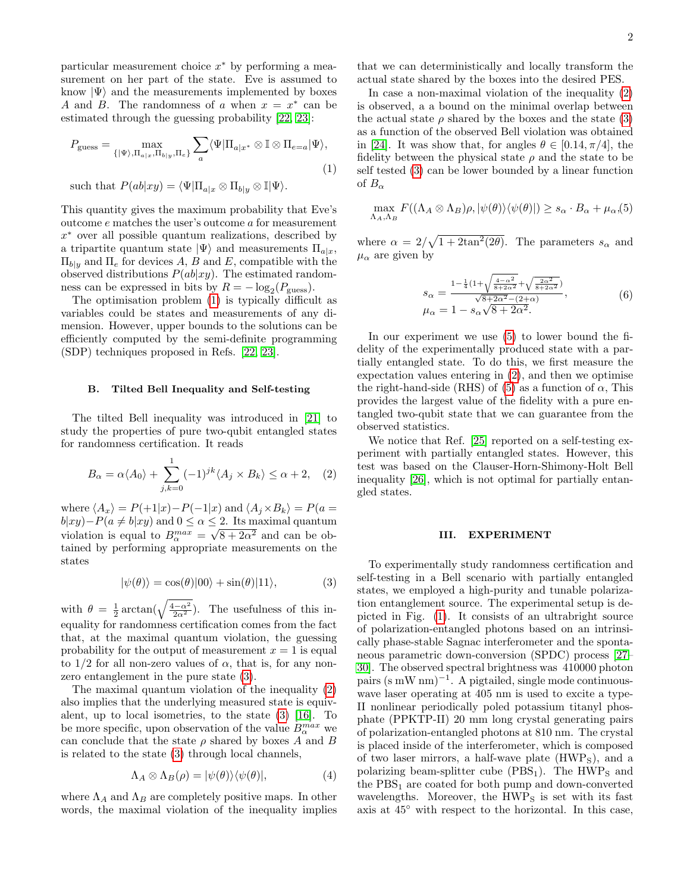particular measurement choice  $x^*$  by performing a measurement on her part of the state. Eve is assumed to know  $|\Psi\rangle$  and the measurements implemented by boxes A and B. The randomness of a when  $x = x^*$  can be estimated through the guessing probability [\[22,](#page-5-14) [23\]](#page-5-15):

$$
P_{\text{guess}} = \max_{\{|\Psi\rangle, \Pi_{a|x}, \Pi_{b|y}, \Pi_e\}} \sum_a \langle \Psi | \Pi_{a|x^*} \otimes \mathbb{I} \otimes \Pi_{e=a} | \Psi \rangle,
$$
  
(1)  
such that  $P(ab|xy) = \langle \Psi | \Pi_{a|x} \otimes \Pi_{b|y} \otimes \mathbb{I} | \Psi \rangle.$ 

This quantity gives the maximum probability that Eve's outcome e matches the user's outcome a for measurement x <sup>∗</sup> over all possible quantum realizations, described by a tripartite quantum state  $|\Psi\rangle$  and measurements  $\Pi_{a|x}$ ,  $\Pi_{b|y}$  and  $\Pi_e$  for devices A, B and E, compatible with the observed distributions  $P(ab|xy)$ . The estimated random-

ness can be expressed in bits by  $R = -\log_2(P_{\text{guess}})$ . The optimisation problem [\(1\)](#page-1-0) is typically difficult as variables could be states and measurements of any dimension. However, upper bounds to the solutions can be efficiently computed by the semi-definite programming (SDP) techniques proposed in Refs. [\[22,](#page-5-14) [23\]](#page-5-15).

#### B. Tilted Bell Inequality and Self-testing

The tilted Bell inequality was introduced in [\[21\]](#page-5-13) to study the properties of pure two-qubit entangled states for randomness certification. It reads

<span id="page-1-2"></span>
$$
B_{\alpha} = \alpha \langle A_0 \rangle + \sum_{j,k=0}^{1} (-1)^{jk} \langle A_j \times B_k \rangle \le \alpha + 2, \quad (2)
$$

where  $\langle A_x \rangle = P(+1|x)-P(-1|x)$  and  $\langle A_i \times B_k \rangle = P(a =$  $b|xy)-P(a \neq b|xy)$  and  $0 \leq \alpha \leq 2$ . Its maximal quantum violation is equal to  $B_{\alpha}^{max} = \sqrt{8 + 2\alpha^2}$  and can be obtained by performing appropriate measurements on the states

<span id="page-1-1"></span>
$$
|\psi(\theta)\rangle = \cos(\theta)|00\rangle + \sin(\theta)|11\rangle, \tag{3}
$$

with  $\theta = \frac{1}{2} \arctan(\sqrt{\frac{4-\alpha^2}{2\alpha^2}})$ . The usefulness of this inequality for randomness certification comes from the fact that, at the maximal quantum violation, the guessing probability for the output of measurement  $x = 1$  is equal to  $1/2$  for all non-zero values of  $\alpha$ , that is, for any nonzero entanglement in the pure state [\(3\)](#page-1-1).

The maximal quantum violation of the inequality [\(2\)](#page-1-2) also implies that the underlying measured state is equivalent, up to local isometries, to the state [\(3\)](#page-1-1) [\[16\]](#page-5-11). To be more specific, upon observation of the value  $B^{max}_{\alpha}$  we can conclude that the state  $\rho$  shared by boxes A and B is related to the state [\(3\)](#page-1-1) through local channels,

$$
\Lambda_A \otimes \Lambda_B(\rho) = |\psi(\theta)\rangle\langle\psi(\theta)|,\tag{4}
$$

where  $\Lambda_A$  and  $\Lambda_B$  are completely positive maps. In other words, the maximal violation of the inequality implies

that we can deterministically and locally transform the actual state shared by the boxes into the desired PES.

In case a non-maximal violation of the inequality [\(2\)](#page-1-2) is observed, a a bound on the minimal overlap between the actual state  $\rho$  shared by the boxes and the state [\(3\)](#page-1-1) as a function of the observed Bell violation was obtained in [\[24\]](#page-5-16). It was show that, for angles  $\theta \in [0.14, \pi/4]$ , the fidelity between the physical state  $\rho$  and the state to be self tested [\(3\)](#page-1-1) can be lower bounded by a linear function of  $B_{\alpha}$ 

<span id="page-1-3"></span><span id="page-1-0"></span>
$$
\max_{\Lambda_A, \Lambda_B} F((\Lambda_A \otimes \Lambda_B)\rho, |\psi(\theta)\rangle\langle\psi(\theta)|) \ge s_\alpha \cdot B_\alpha + \mu_\alpha, (5)
$$

where  $\alpha = 2/\sqrt{1+2\tan^2(2\theta)}$ . The parameters  $s_\alpha$  and  $\mu_{\alpha}$  are given by

$$
s_{\alpha} = \frac{1 - \frac{1}{4} (1 + \sqrt{\frac{4 - \alpha^2}{8 + 2\alpha^2}} + \sqrt{\frac{2\alpha^2}{8 + 2\alpha^2}})}{\sqrt{8 + 2\alpha^2} - (2 + \alpha)},
$$
  
\n
$$
\mu_{\alpha} = 1 - s_{\alpha} \sqrt{8 + 2\alpha^2}.
$$
\n(6)

In our experiment we use [\(5\)](#page-1-3) to lower bound the fidelity of the experimentally produced state with a partially entangled state. To do this, we first measure the expectation values entering in [\(2\)](#page-1-2), and then we optimise the right-hand-side (RHS) of [\(5\)](#page-1-3) as a function of  $\alpha$ , This provides the largest value of the fidelity with a pure entangled two-qubit state that we can guarantee from the observed statistics.

We notice that Ref. [\[25\]](#page-5-17) reported on a self-testing experiment with partially entangled states. However, this test was based on the Clauser-Horn-Shimony-Holt Bell inequality [\[26\]](#page-5-18), which is not optimal for partially entangled states.

#### III. EXPERIMENT

To experimentally study randomness certification and self-testing in a Bell scenario with partially entangled states, we employed a high-purity and tunable polarization entanglement source. The experimental setup is depicted in Fig. [\(1\)](#page-2-0). It consists of an ultrabright source of polarization-entangled photons based on an intrinsically phase-stable Sagnac interferometer and the spontaneous parametric down-conversion (SPDC) process [\[27–](#page-5-19) [30\]](#page-5-20). The observed spectral brightness was 410000 photon pairs (s mW nm)<sup>-1</sup>. A pigtailed, single mode continuouswave laser operating at 405 nm is used to excite a type-II nonlinear periodically poled potassium titanyl phosphate (PPKTP-II) 20 mm long crystal generating pairs of polarization-entangled photons at 810 nm. The crystal is placed inside of the interferometer, which is composed of two laser mirrors, a half-wave plate  $(HWP<sub>S</sub>)$ , and a polarizing beam-splitter cube  $(PBS<sub>1</sub>)$ . The HWP<sub>S</sub> and the  $PBS<sub>1</sub>$  are coated for both pump and down-converted wavelengths. Moreover, the  $HWP<sub>S</sub>$  is set with its fast axis at 45◦ with respect to the horizontal. In this case,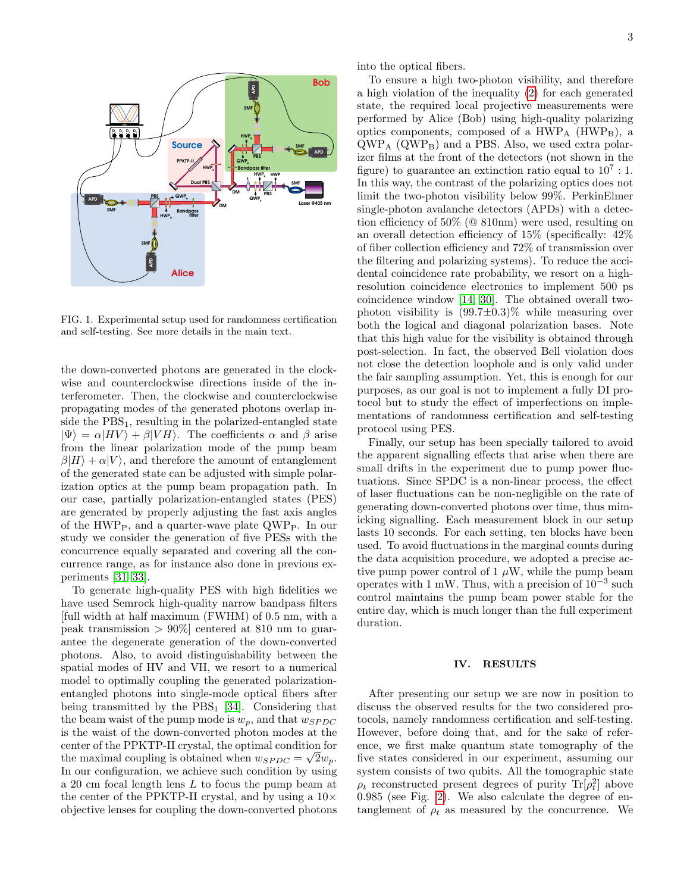

<span id="page-2-0"></span>FIG. 1. Experimental setup used for randomness certification and self-testing. See more details in the main text.

the down-converted photons are generated in the clockwise and counterclockwise directions inside of the interferometer. Then, the clockwise and counterclockwise propagating modes of the generated photons overlap inside the  $PBS<sub>1</sub>$ , resulting in the polarized-entangled state  $|\Psi\rangle = \alpha |HV\rangle + \beta |VH\rangle$ . The coefficients  $\alpha$  and  $\beta$  arise from the linear polarization mode of the pump beam  $\beta|H\rangle + \alpha|V\rangle$ , and therefore the amount of entanglement of the generated state can be adjusted with simple polarization optics at the pump beam propagation path. In our case, partially polarization-entangled states (PES) are generated by properly adjusting the fast axis angles of the HWP<sub>P</sub>, and a quarter-wave plate  $QWP_P$ . In our study we consider the generation of five PESs with the concurrence equally separated and covering all the concurrence range, as for instance also done in previous experiments [\[31–](#page-5-21)[33\]](#page-6-0).

To generate high-quality PES with high fidelities we have used Semrock high-quality narrow bandpass filters [full width at half maximum (FWHM) of 0.5 nm, with a peak transmission  $> 90\%$  centered at 810 nm to guarantee the degenerate generation of the down-converted photons. Also, to avoid distinguishability between the spatial modes of HV and VH, we resort to a numerical model to optimally coupling the generated polarizationentangled photons into single-mode optical fibers after being transmitted by the  $PBS<sub>1</sub>$  [\[34\]](#page-6-1). Considering that the beam waist of the pump mode is  $w_p$ , and that  $w_{SPDC}$ is the waist of the down-converted photon modes at the center of the PPKTP-II crystal, the optimal condition for the maximal coupling is obtained when  $w_{SPDC} = \sqrt{2w_p}$ . In our configuration, we achieve such condition by using a 20 cm focal length lens L to focus the pump beam at the center of the PPKTP-II crystal, and by using a  $10\times$ objective lenses for coupling the down-converted photons into the optical fibers.

To ensure a high two-photon visibility, and therefore a high violation of the inequality [\(2\)](#page-1-2) for each generated state, the required local projective measurements were performed by Alice (Bob) using high-quality polarizing optics components, composed of a  $HWP<sub>A</sub>$  (HWP<sub>B</sub>), a  $QWP<sub>A</sub>$  ( $QWP<sub>B</sub>$ ) and a PBS. Also, we used extra polarizer films at the front of the detectors (not shown in the figure) to guarantee an extinction ratio equal to  $10^7:1$ . In this way, the contrast of the polarizing optics does not limit the two-photon visibility below 99%. PerkinElmer single-photon avalanche detectors (APDs) with a detection efficiency of 50% (@ 810nm) were used, resulting on an overall detection efficiency of 15% (specifically: 42% of fiber collection efficiency and 72% of transmission over the filtering and polarizing systems). To reduce the accidental coincidence rate probability, we resort on a highresolution coincidence electronics to implement 500 ps coincidence window [\[14,](#page-5-8) [30\]](#page-5-20). The obtained overall twophoton visibility is  $(99.7\pm0.3)\%$  while measuring over both the logical and diagonal polarization bases. Note that this high value for the visibility is obtained through post-selection. In fact, the observed Bell violation does not close the detection loophole and is only valid under the fair sampling assumption. Yet, this is enough for our purposes, as our goal is not to implement a fully DI protocol but to study the effect of imperfections on implementations of randomness certification and self-testing protocol using PES.

Finally, our setup has been specially tailored to avoid the apparent signalling effects that arise when there are small drifts in the experiment due to pump power fluctuations. Since SPDC is a non-linear process, the effect of laser fluctuations can be non-negligible on the rate of generating down-converted photons over time, thus mimicking signalling. Each measurement block in our setup lasts 10 seconds. For each setting, ten blocks have been used. To avoid fluctuations in the marginal counts during the data acquisition procedure, we adopted a precise active pump power control of  $1 \mu W$ , while the pump beam operates with 1 mW. Thus, with a precision of  $10^{-3}$  such control maintains the pump beam power stable for the entire day, which is much longer than the full experiment duration.

## IV. RESULTS

After presenting our setup we are now in position to discuss the observed results for the two considered protocols, namely randomness certification and self-testing. However, before doing that, and for the sake of reference, we first make quantum state tomography of the five states considered in our experiment, assuming our system consists of two qubits. All the tomographic state  $\rho_t$  reconstructed present degrees of purity  $\text{Tr}[\rho_t^2]$  above 0.985 (see Fig. [2\)](#page-3-0). We also calculate the degree of entanglement of  $\rho_t$  as measured by the concurrence. We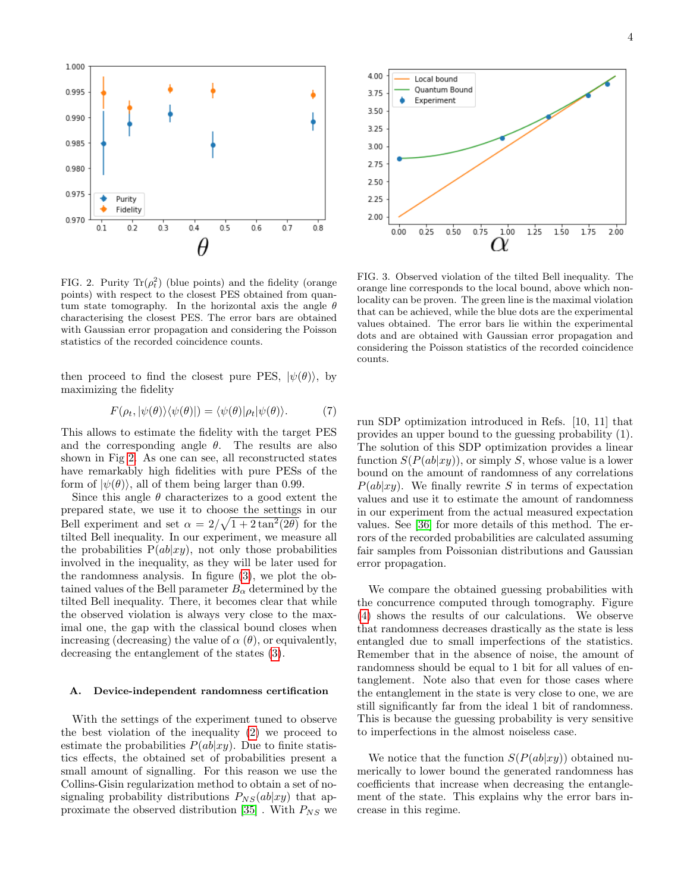

<span id="page-3-0"></span>FIG. 2. Purity  $\text{Tr}(\rho_t^2)$  (blue points) and the fidelity (orange points) with respect to the closest PES obtained from quantum state tomography. In the horizontal axis the angle  $\theta$ characterising the closest PES. The error bars are obtained with Gaussian error propagation and considering the Poisson statistics of the recorded coincidence counts.

then proceed to find the closest pure PES,  $|\psi(\theta)\rangle$ , by maximizing the fidelity

$$
F(\rho_t, |\psi(\theta)\rangle\langle\psi(\theta)|) = \langle\psi(\theta)|\rho_t|\psi(\theta)\rangle.
$$
 (7)

This allows to estimate the fidelity with the target PES and the corresponding angle  $\theta$ . The results are also shown in Fig [2.](#page-3-0) As one can see, all reconstructed states have remarkably high fidelities with pure PESs of the form of  $|\psi(\theta)\rangle$ , all of them being larger than 0.99.

Since this angle  $\theta$  characterizes to a good extent the prepared state, we use it to choose the settings in our Bell experiment and set  $\alpha = 2/\sqrt{1+2\tan^2(2\theta)}$  for the tilted Bell inequality. In our experiment, we measure all the probabilities  $P(ab|xy)$ , not only those probabilities involved in the inequality, as they will be later used for the randomness analysis. In figure [\(3\)](#page-3-1), we plot the obtained values of the Bell parameter  $B_{\alpha}$  determined by the tilted Bell inequality. There, it becomes clear that while the observed violation is always very close to the maximal one, the gap with the classical bound closes when increasing (decreasing) the value of  $\alpha(\theta)$ , or equivalently, decreasing the entanglement of the states [\(3\)](#page-1-1).

#### A. Device-independent randomness certification

With the settings of the experiment tuned to observe the best violation of the inequality [\(2\)](#page-1-2) we proceed to estimate the probabilities  $P(ab|xy)$ . Due to finite statistics effects, the obtained set of probabilities present a small amount of signalling. For this reason we use the Collins-Gisin regularization method to obtain a set of nosignaling probability distributions  $P_{NS}(ab|xy)$  that ap-proximate the observed distribution [\[35\]](#page-6-2). With  $P_{NS}$  we



<span id="page-3-1"></span>FIG. 3. Observed violation of the tilted Bell inequality. The orange line corresponds to the local bound, above which nonlocality can be proven. The green line is the maximal violation that can be achieved, while the blue dots are the experimental values obtained. The error bars lie within the experimental dots and are obtained with Gaussian error propagation and considering the Poisson statistics of the recorded coincidence counts.

run SDP optimization introduced in Refs. [10, 11] that provides an upper bound to the guessing probability (1). The solution of this SDP optimization provides a linear function  $S(P(ab|xy))$ , or simply S, whose value is a lower bound on the amount of randomness of any correlations  $P(ab|xy)$ . We finally rewrite S in terms of expectation values and use it to estimate the amount of randomness in our experiment from the actual measured expectation values. See [\[36\]](#page-6-3) for more details of this method. The errors of the recorded probabilities are calculated assuming fair samples from Poissonian distributions and Gaussian error propagation.

We compare the obtained guessing probabilities with the concurrence computed through tomography. Figure [\(4\)](#page-4-0) shows the results of our calculations. We observe that randomness decreases drastically as the state is less entangled due to small imperfections of the statistics. Remember that in the absence of noise, the amount of randomness should be equal to 1 bit for all values of entanglement. Note also that even for those cases where the entanglement in the state is very close to one, we are still significantly far from the ideal 1 bit of randomness. This is because the guessing probability is very sensitive to imperfections in the almost noiseless case.

We notice that the function  $S(P(ab|xy))$  obtained numerically to lower bound the generated randomness has coefficients that increase when decreasing the entanglement of the state. This explains why the error bars increase in this regime.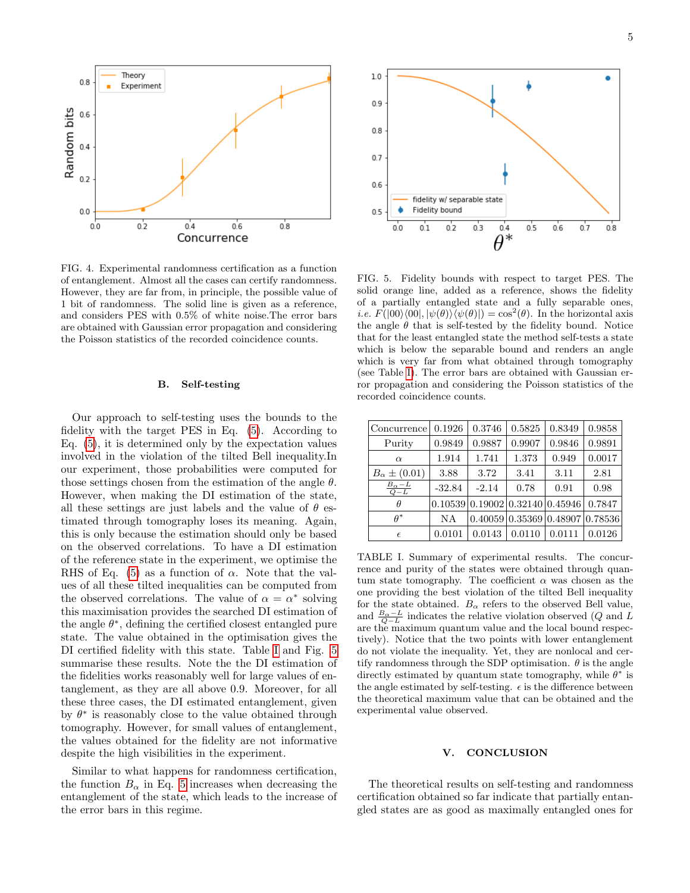

<span id="page-4-0"></span>FIG. 4. Experimental randomness certification as a function of entanglement. Almost all the cases can certify randomness. However, they are far from, in principle, the possible value of 1 bit of randomness. The solid line is given as a reference, and considers PES with 0.5% of white noise.The error bars are obtained with Gaussian error propagation and considering the Poisson statistics of the recorded coincidence counts.

### B. Self-testing

Our approach to self-testing uses the bounds to the fidelity with the target PES in Eq. [\(5\)](#page-1-3). According to Eq. [\(5\)](#page-1-3), it is determined only by the expectation values involved in the violation of the tilted Bell inequality.In our experiment, those probabilities were computed for those settings chosen from the estimation of the angle  $\theta$ . However, when making the DI estimation of the state, all these settings are just labels and the value of  $\theta$  estimated through tomography loses its meaning. Again, this is only because the estimation should only be based on the observed correlations. To have a DI estimation of the reference state in the experiment, we optimise the RHS of Eq. [\(5\)](#page-1-3) as a function of  $\alpha$ . Note that the values of all these tilted inequalities can be computed from the observed correlations. The value of  $\alpha = \alpha^*$  solving this maximisation provides the searched DI estimation of the angle  $\theta^*$ , defining the certified closest entangled pure state. The value obtained in the optimisation gives the DI certified fidelity with this state. Table [I](#page-4-1) and Fig. [5](#page-4-2) summarise these results. Note the the DI estimation of the fidelities works reasonably well for large values of entanglement, as they are all above 0.9. Moreover, for all these three cases, the DI estimated entanglement, given by  $\theta^*$  is reasonably close to the value obtained through tomography. However, for small values of entanglement, the values obtained for the fidelity are not informative despite the high visibilities in the experiment.

Similar to what happens for randomness certification, the function  $B_{\alpha}$  in Eq. [5](#page-1-3) increases when decreasing the entanglement of the state, which leads to the increase of the error bars in this regime.



<span id="page-4-2"></span>FIG. 5. Fidelity bounds with respect to target PES. The solid orange line, added as a reference, shows the fidelity of a partially entangled state and a fully separable ones, *i.e.*  $F(|00\rangle\langle00|, |\psi(\theta)\rangle\langle\psi(\theta)|) = \cos^2(\theta)$ . In the horizontal axis the angle  $\theta$  that is self-tested by the fidelity bound. Notice that for the least entangled state the method self-tests a state which is below the separable bound and renders an angle which is very far from what obtained through tomography (see Table [I\)](#page-4-1). The error bars are obtained with Gaussian error propagation and considering the Poisson statistics of the recorded coincidence counts.

| Concurrence                | 0.1926   | 0.3746                                           | 0.5825                  | 0.8349 | 0.9858  |
|----------------------------|----------|--------------------------------------------------|-------------------------|--------|---------|
| Purity                     | 0.9849   | 0.9887                                           | 0.9907                  | 0.9846 | 0.9891  |
| $\alpha$                   | 1.914    | 1.741                                            | 1.373                   | 0.949  | 0.0017  |
| $B_\alpha \pm (0.01)$      | 3.88     | 3.72                                             | 3.41                    | 3.11   | 2.81    |
| $\frac{B_{\alpha}-L}{Q-L}$ | $-32.84$ | $-2.14$                                          | 0.78                    | 0.91   | 0.98    |
|                            |          | $0.10539 \mid 0.19002 \mid 0.32140 \mid 0.45946$ |                         |        | 0.7847  |
| $A^*$                      | NΑ       |                                                  | 0.40059 0.35369 0.48907 |        | 0.78536 |
| $\epsilon$                 | 0.0101   | 0.0143                                           | 0.0110                  | 0.0111 | 0.0126  |

<span id="page-4-1"></span>TABLE I. Summary of experimental results. The concurrence and purity of the states were obtained through quantum state tomography. The coefficient  $\alpha$  was chosen as the one providing the best violation of the tilted Bell inequality for the state obtained.  $B_{\alpha}$  refers to the observed Bell value, and  $\frac{B_{\alpha}-L}{Q-L}$  indicates the relative violation observed (Q and L are the maximum quantum value and the local bound respectively). Notice that the two points with lower entanglement do not violate the inequality. Yet, they are nonlocal and certify randomness through the SDP optimisation.  $\theta$  is the angle directly estimated by quantum state tomography, while  $\theta^*$  is the angle estimated by self-testing.  $\epsilon$  is the difference between the theoretical maximum value that can be obtained and the experimental value observed.

## V. CONCLUSION

The theoretical results on self-testing and randomness certification obtained so far indicate that partially entangled states are as good as maximally entangled ones for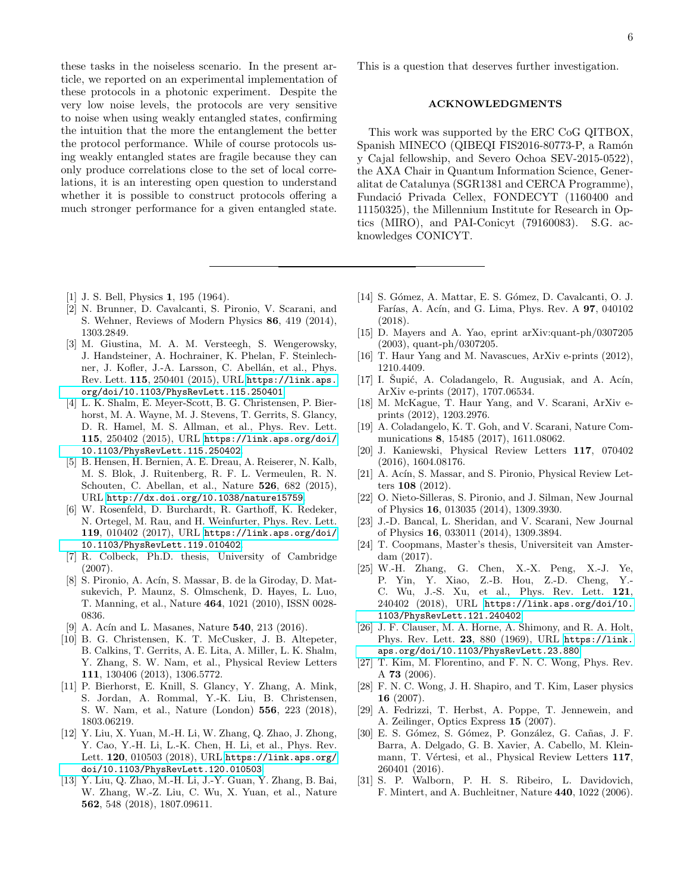these tasks in the noiseless scenario. In the present article, we reported on an experimental implementation of these protocols in a photonic experiment. Despite the very low noise levels, the protocols are very sensitive to noise when using weakly entangled states, confirming the intuition that the more the entanglement the better the protocol performance. While of course protocols using weakly entangled states are fragile because they can only produce correlations close to the set of local correlations, it is an interesting open question to understand whether it is possible to construct protocols offering a much stronger performance for a given entangled state.

- <span id="page-5-0"></span>[1] J. S. Bell, Physics **1**, 195 (1964).
- <span id="page-5-1"></span>[2] N. Brunner, D. Cavalcanti, S. Pironio, V. Scarani, and S. Wehner, Reviews of Modern Physics 86, 419 (2014), 1303.2849.
- <span id="page-5-2"></span>[3] M. Giustina, M. A. M. Versteegh, S. Wengerowsky, J. Handsteiner, A. Hochrainer, K. Phelan, F. Steinlechner, J. Kofler, J.-A. Larsson, C. Abellán, et al., Phys. Rev. Lett. 115, 250401 (2015), URL [https://link.aps.](https://link.aps.org/doi/10.1103/PhysRevLett.115.250401) [org/doi/10.1103/PhysRevLett.115.250401](https://link.aps.org/doi/10.1103/PhysRevLett.115.250401).
- [4] L. K. Shalm, E. Meyer-Scott, B. G. Christensen, P. Bierhorst, M. A. Wayne, M. J. Stevens, T. Gerrits, S. Glancy, D. R. Hamel, M. S. Allman, et al., Phys. Rev. Lett. 115, 250402 (2015), URL [https://link.aps.org/doi/](https://link.aps.org/doi/10.1103/PhysRevLett.115.250402) [10.1103/PhysRevLett.115.250402](https://link.aps.org/doi/10.1103/PhysRevLett.115.250402).
- [5] B. Hensen, H. Bernien, A. E. Dreau, A. Reiserer, N. Kalb, M. S. Blok, J. Ruitenberg, R. F. L. Vermeulen, R. N. Schouten, C. Abellan, et al., Nature 526, 682 (2015), URL <http://dx.doi.org/10.1038/nature15759>.
- <span id="page-5-3"></span>[6] W. Rosenfeld, D. Burchardt, R. Garthoff, K. Redeker, N. Ortegel, M. Rau, and H. Weinfurter, Phys. Rev. Lett. 119, 010402 (2017), URL [https://link.aps.org/doi/](https://link.aps.org/doi/10.1103/PhysRevLett.119.010402) [10.1103/PhysRevLett.119.010402](https://link.aps.org/doi/10.1103/PhysRevLett.119.010402).
- <span id="page-5-4"></span>[7] R. Colbeck, Ph.D. thesis, University of Cambridge (2007).
- <span id="page-5-6"></span>[8] S. Pironio, A. Acín, S. Massar, B. de la Giroday, D. Matsukevich, P. Maunz, S. Olmschenk, D. Hayes, L. Luo, T. Manning, et al., Nature 464, 1021 (2010), ISSN 0028- 0836.
- <span id="page-5-5"></span>[9] A. Acín and L. Masanes, Nature 540, 213 (2016).
- <span id="page-5-7"></span>[10] B. G. Christensen, K. T. McCusker, J. B. Altepeter, B. Calkins, T. Gerrits, A. E. Lita, A. Miller, L. K. Shalm, Y. Zhang, S. W. Nam, et al., Physical Review Letters 111, 130406 (2013), 1306.5772.
- [11] P. Bierhorst, E. Knill, S. Glancy, Y. Zhang, A. Mink, S. Jordan, A. Rommal, Y.-K. Liu, B. Christensen, S. W. Nam, et al., Nature (London) 556, 223 (2018), 1803.06219.
- [12] Y. Liu, X. Yuan, M.-H. Li, W. Zhang, Q. Zhao, J. Zhong, Y. Cao, Y.-H. Li, L.-K. Chen, H. Li, et al., Phys. Rev. Lett. 120, 010503 (2018), URL [https://link.aps.org/](https://link.aps.org/doi/10.1103/PhysRevLett.120.010503) [doi/10.1103/PhysRevLett.120.010503](https://link.aps.org/doi/10.1103/PhysRevLett.120.010503).
- [13] Y. Liu, Q. Zhao, M.-H. Li, J.-Y. Guan, Y. Zhang, B. Bai, W. Zhang, W.-Z. Liu, C. Wu, X. Yuan, et al., Nature 562, 548 (2018), 1807.09611.

This is a question that deserves further investigation.

## ACKNOWLEDGMENTS

This work was supported by the ERC CoG QITBOX, Spanish MINECO (QIBEQI FIS2016-80773-P, a Ramón y Cajal fellowship, and Severo Ochoa SEV-2015-0522), the AXA Chair in Quantum Information Science, Generalitat de Catalunya (SGR1381 and CERCA Programme), Fundació Privada Cellex, FONDECYT (1160400 and 11150325), the Millennium Institute for Research in Optics (MIRO), and PAI-Conicyt (79160083). S.G. acknowledges CONICYT.

- <span id="page-5-8"></span>[14] S. Gómez, A. Mattar, E. S. Gómez, D. Cavalcanti, O. J. Farías, A. Acín, and G. Lima, Phys. Rev. A 97, 040102 (2018).
- <span id="page-5-9"></span>[15] D. Mayers and A. Yao, eprint arXiv:quant-ph/0307205 (2003), quant-ph/0307205.
- <span id="page-5-11"></span>[16] T. Haur Yang and M. Navascues, ArXiv e-prints (2012), 1210.4409.
- $[17]$  I. Supić, A. Coladangelo, R. Augusiak, and A. Acín, ArXiv e-prints (2017), 1707.06534.
- [18] M. McKague, T. Haur Yang, and V. Scarani, ArXiv eprints (2012), 1203.2976.
- <span id="page-5-12"></span>[19] A. Coladangelo, K. T. Goh, and V. Scarani, Nature Communications 8, 15485 (2017), 1611.08062.
- <span id="page-5-10"></span>[20] J. Kaniewski, Physical Review Letters 117, 070402 (2016), 1604.08176.
- <span id="page-5-13"></span>[21] A. Acín, S. Massar, and S. Pironio, Physical Review Letters 108 (2012).
- <span id="page-5-14"></span>[22] O. Nieto-Silleras, S. Pironio, and J. Silman, New Journal of Physics 16, 013035 (2014), 1309.3930.
- <span id="page-5-15"></span>[23] J.-D. Bancal, L. Sheridan, and V. Scarani, New Journal of Physics 16, 033011 (2014), 1309.3894.
- <span id="page-5-16"></span>[24] T. Coopmans, Master's thesis, Universiteit van Amsterdam (2017).
- <span id="page-5-17"></span>[25] W.-H. Zhang, G. Chen, X.-X. Peng, X.-J. Ye, P. Yin, Y. Xiao, Z.-B. Hou, Z.-D. Cheng, Y.- C. Wu, J.-S. Xu, et al., Phys. Rev. Lett. 121, 240402 (2018), URL [https://link.aps.org/doi/10.](https://link.aps.org/doi/10.1103/PhysRevLett.121.240402) [1103/PhysRevLett.121.240402](https://link.aps.org/doi/10.1103/PhysRevLett.121.240402).
- <span id="page-5-18"></span>[26] J. F. Clauser, M. A. Horne, A. Shimony, and R. A. Holt, Phys. Rev. Lett. 23, 880 (1969), URL [https://link.](https://link.aps.org/doi/10.1103/PhysRevLett.23.880) [aps.org/doi/10.1103/PhysRevLett.23.880](https://link.aps.org/doi/10.1103/PhysRevLett.23.880).
- <span id="page-5-19"></span>[27] T. Kim, M. Florentino, and F. N. C. Wong, Phys. Rev. A 73 (2006).
- [28] F. N. C. Wong, J. H. Shapiro, and T. Kim, Laser physics 16 (2007).
- [29] A. Fedrizzi, T. Herbst, A. Poppe, T. Jennewein, and A. Zeilinger, Optics Express 15 (2007).
- <span id="page-5-20"></span>[30] E. S. Gómez, S. Gómez, P. González, G. Cañas, J. F. Barra, A. Delgado, G. B. Xavier, A. Cabello, M. Kleinmann, T. Vértesi, et al., Physical Review Letters 117, 260401 (2016).
- <span id="page-5-21"></span>[31] S. P. Walborn, P. H. S. Ribeiro, L. Davidovich, F. Mintert, and A. Buchleitner, Nature 440, 1022 (2006).